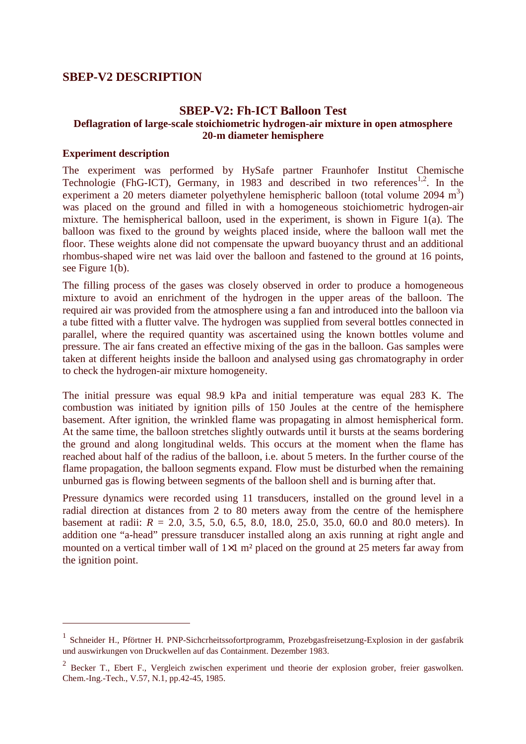# **SBEP-V2 DESCRIPTION**

## **SBEP-V2: Fh-ICT Balloon Test Deflagration of large-scale stoichiometric hydrogen-air mixture in open atmosphere 20-m diameter hemisphere**

### **Experiment description**

 $\overline{a}$ 

The experiment was performed by HySafe partner Fraunhofer Institut Chemische Technologie (FhG-ICT), Germany, in 1983 and described in two references<sup>1,2</sup>. In the experiment a 20 meters diameter polyethylene hemispheric balloon (total volume  $2094 \text{ m}^3$ ) was placed on the ground and filled in with a homogeneous stoichiometric hydrogen-air mixture. The hemispherical balloon, used in the experiment, is shown in Figure 1(a). The balloon was fixed to the ground by weights placed inside, where the balloon wall met the floor. These weights alone did not compensate the upward buoyancy thrust and an additional rhombus-shaped wire net was laid over the balloon and fastened to the ground at 16 points, see Figure 1(b).

The filling process of the gases was closely observed in order to produce a homogeneous mixture to avoid an enrichment of the hydrogen in the upper areas of the balloon. The required air was provided from the atmosphere using a fan and introduced into the balloon via a tube fitted with a flutter valve. The hydrogen was supplied from several bottles connected in parallel, where the required quantity was ascertained using the known bottles volume and pressure. The air fans created an effective mixing of the gas in the balloon. Gas samples were taken at different heights inside the balloon and analysed using gas chromatography in order to check the hydrogen-air mixture homogeneity.

The initial pressure was equal 98.9 kPa and initial temperature was equal 283 K. The combustion was initiated by ignition pills of 150 Joules at the centre of the hemisphere basement. After ignition, the wrinkled flame was propagating in almost hemispherical form. At the same time, the balloon stretches slightly outwards until it bursts at the seams bordering the ground and along longitudinal welds. This occurs at the moment when the flame has reached about half of the radius of the balloon, i.e. about 5 meters. In the further course of the flame propagation, the balloon segments expand. Flow must be disturbed when the remaining unburned gas is flowing between segments of the balloon shell and is burning after that.

Pressure dynamics were recorded using 11 transducers, installed on the ground level in a radial direction at distances from 2 to 80 meters away from the centre of the hemisphere basement at radii: *R* = 2.0, 3.5, 5.0, 6.5, 8.0, 18.0, 25.0, 35.0, 60.0 and 80.0 meters). In addition one "a-head" pressure transducer installed along an axis running at right angle and mounted on a vertical timber wall of  $1\times1$  m<sup>2</sup> placed on the ground at 25 meters far away from the ignition point.

<sup>1</sup> Schneider H., Pförtner H. PNP-Sichcrheitssofortprogramm, Prozebgasfreisetzung-Explosion in der gasfabrik und auswirkungen von Druckwellen auf das Containment. Dezember 1983.

 $2$  Becker T., Ebert F., Vergleich zwischen experiment und theorie der explosion grober, freier gaswolken. Chem.-Ing.-Tech., V.57, N.1, pp.42-45, 1985.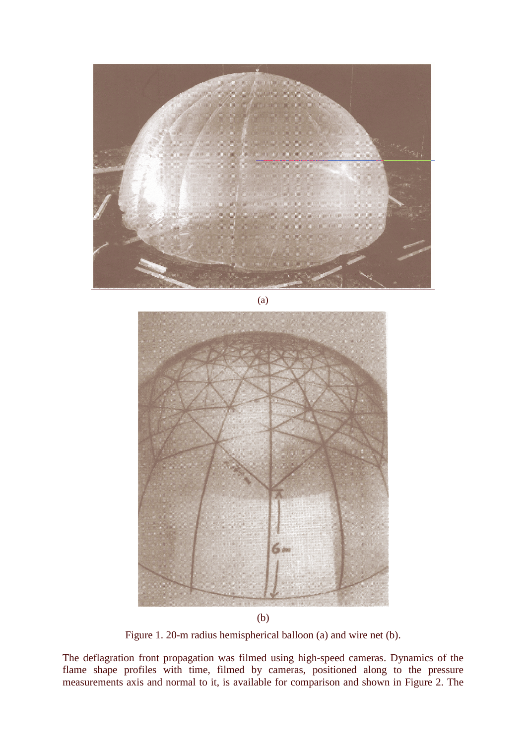

(a)



(b)

Figure 1. 20-m radius hemispherical balloon (a) and wire net (b).

The deflagration front propagation was filmed using high-speed cameras. Dynamics of the flame shape profiles with time, filmed by cameras, positioned along to the pressure measurements axis and normal to it, is available for comparison and shown in Figure 2. The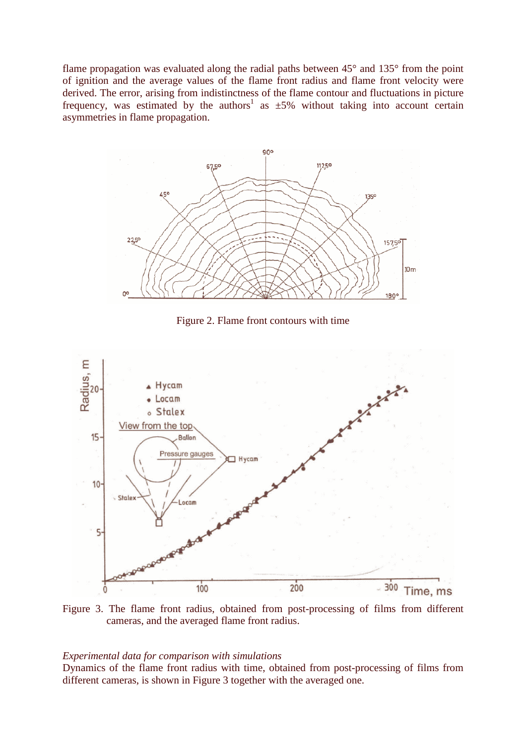flame propagation was evaluated along the radial paths between 45° and 135° from the point of ignition and the average values of the flame front radius and flame front velocity were derived. The error, arising from indistinctness of the flame contour and fluctuations in picture frequency, was estimated by the authors<sup>1</sup> as  $\pm 5\%$  without taking into account certain asymmetries in flame propagation.



Figure 2. Flame front contours with time



Figure 3. The flame front radius, obtained from post-processing of films from different cameras, and the averaged flame front radius.

### *Experimental data for comparison with simulations*

Dynamics of the flame front radius with time, obtained from post-processing of films from different cameras, is shown in Figure 3 together with the averaged one.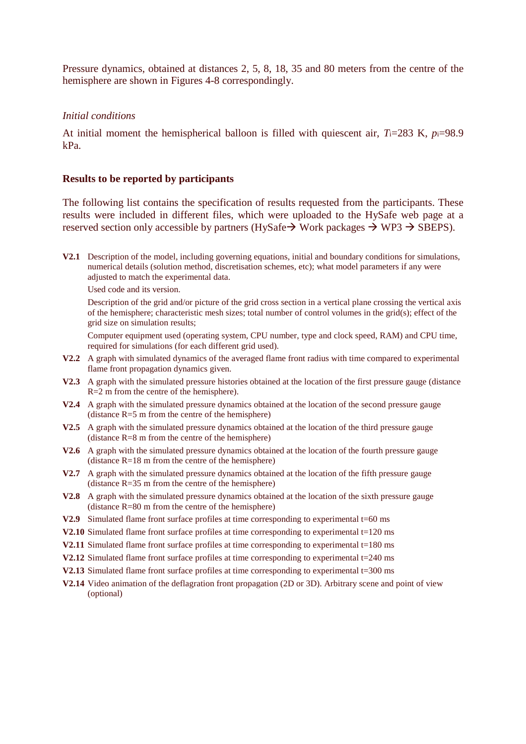Pressure dynamics, obtained at distances 2, 5, 8, 18, 35 and 80 meters from the centre of the hemisphere are shown in Figures 4-8 correspondingly.

#### *Initial conditions*

At initial moment the hemispherical balloon is filled with quiescent air, *T*i=283 K, *p*i=98.9 kPa.

### **Results to be reported by participants**

The following list contains the specification of results requested from the participants. These results were included in different files, which were uploaded to the HySafe web page at a reserved section only accessible by partners (HySafe  $\rightarrow$  Work packages  $\rightarrow$  WP3  $\rightarrow$  SBEPS).

**V2.1** Description of the model, including governing equations, initial and boundary conditions for simulations, numerical details (solution method, discretisation schemes, etc); what model parameters if any were adjusted to match the experimental data.

Used code and its version.

Description of the grid and/or picture of the grid cross section in a vertical plane crossing the vertical axis of the hemisphere; characteristic mesh sizes; total number of control volumes in the grid(s); effect of the grid size on simulation results;

Computer equipment used (operating system, CPU number, type and clock speed, RAM) and CPU time, required for simulations (for each different grid used).

- **V2.2** A graph with simulated dynamics of the averaged flame front radius with time compared to experimental flame front propagation dynamics given.
- **V2.3** A graph with the simulated pressure histories obtained at the location of the first pressure gauge (distance R=2 m from the centre of the hemisphere).
- **V2.4** A graph with the simulated pressure dynamics obtained at the location of the second pressure gauge (distance  $R=5$  m from the centre of the hemisphere)
- **V2.5** A graph with the simulated pressure dynamics obtained at the location of the third pressure gauge (distance R=8 m from the centre of the hemisphere)
- **V2.6** A graph with the simulated pressure dynamics obtained at the location of the fourth pressure gauge (distance R=18 m from the centre of the hemisphere)
- **V2.7** A graph with the simulated pressure dynamics obtained at the location of the fifth pressure gauge (distance R=35 m from the centre of the hemisphere)
- **V2.8** A graph with the simulated pressure dynamics obtained at the location of the sixth pressure gauge (distance R=80 m from the centre of the hemisphere)
- **V2.9** Simulated flame front surface profiles at time corresponding to experimental t=60 ms
- **V2.10** Simulated flame front surface profiles at time corresponding to experimental t=120 ms
- **V2.11** Simulated flame front surface profiles at time corresponding to experimental  $t=180$  ms
- **V2.12** Simulated flame front surface profiles at time corresponding to experimental t=240 ms
- **V2.13** Simulated flame front surface profiles at time corresponding to experimental t=300 ms
- **V2.14** Video animation of the deflagration front propagation (2D or 3D). Arbitrary scene and point of view (optional)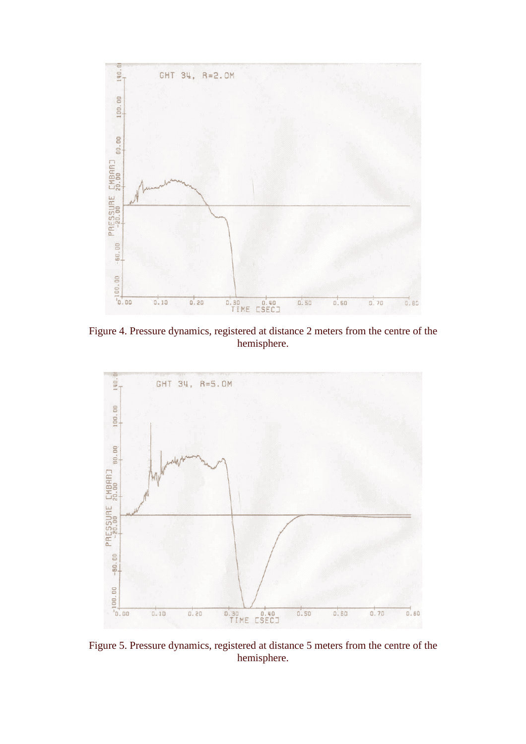

Figure 4. Pressure dynamics, registered at distance 2 meters from the centre of the hemisphere.



Figure 5. Pressure dynamics, registered at distance 5 meters from the centre of the hemisphere.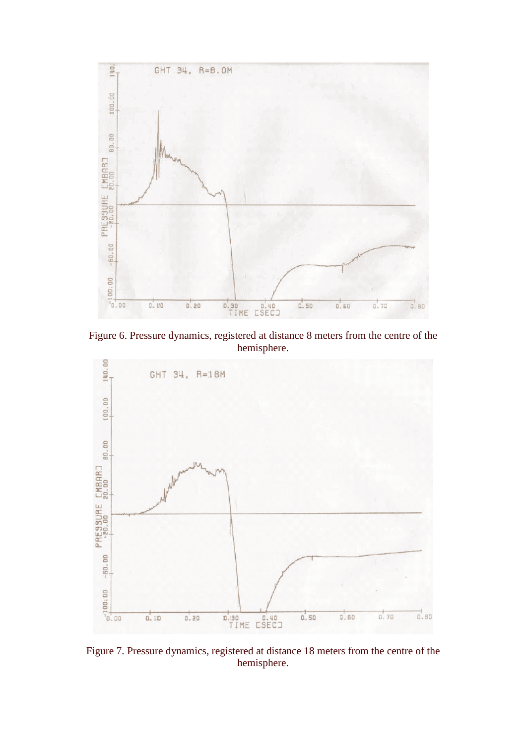

Figure 6. Pressure dynamics, registered at distance 8 meters from the centre of the hemisphere.



Figure 7. Pressure dynamics, registered at distance 18 meters from the centre of the hemisphere.